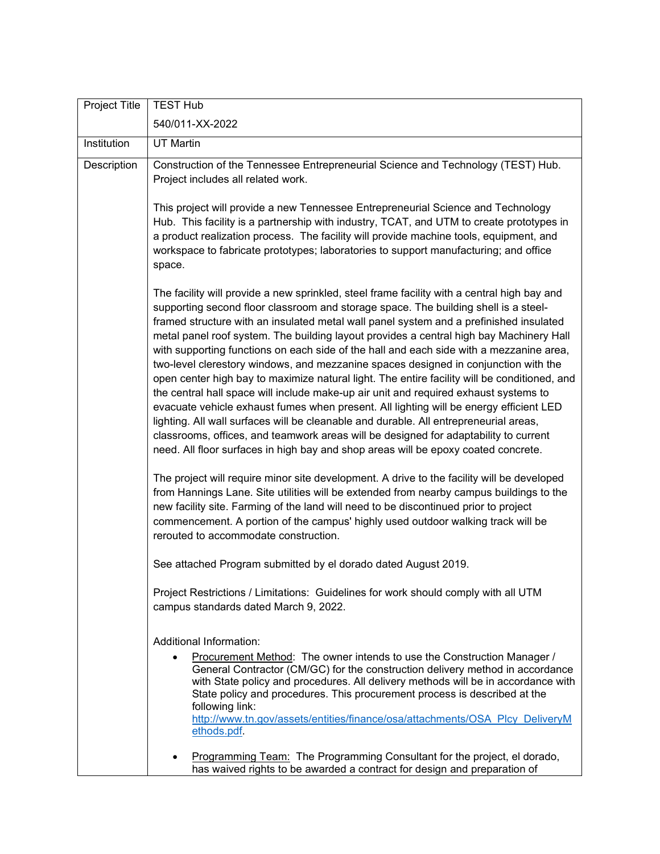| Project Title | <b>TEST Hub</b>                                                                                                                                                                                                                                                                                                                                                                                                                                                                                                                                                                                                                                                                                                                                                                                                                                                                                                                                                                                                                                                                                                    |
|---------------|--------------------------------------------------------------------------------------------------------------------------------------------------------------------------------------------------------------------------------------------------------------------------------------------------------------------------------------------------------------------------------------------------------------------------------------------------------------------------------------------------------------------------------------------------------------------------------------------------------------------------------------------------------------------------------------------------------------------------------------------------------------------------------------------------------------------------------------------------------------------------------------------------------------------------------------------------------------------------------------------------------------------------------------------------------------------------------------------------------------------|
|               | 540/011-XX-2022                                                                                                                                                                                                                                                                                                                                                                                                                                                                                                                                                                                                                                                                                                                                                                                                                                                                                                                                                                                                                                                                                                    |
| Institution   | <b>UT Martin</b>                                                                                                                                                                                                                                                                                                                                                                                                                                                                                                                                                                                                                                                                                                                                                                                                                                                                                                                                                                                                                                                                                                   |
| Description   | Construction of the Tennessee Entrepreneurial Science and Technology (TEST) Hub.<br>Project includes all related work.                                                                                                                                                                                                                                                                                                                                                                                                                                                                                                                                                                                                                                                                                                                                                                                                                                                                                                                                                                                             |
|               | This project will provide a new Tennessee Entrepreneurial Science and Technology<br>Hub. This facility is a partnership with industry, TCAT, and UTM to create prototypes in<br>a product realization process. The facility will provide machine tools, equipment, and<br>workspace to fabricate prototypes; laboratories to support manufacturing; and office<br>space.                                                                                                                                                                                                                                                                                                                                                                                                                                                                                                                                                                                                                                                                                                                                           |
|               | The facility will provide a new sprinkled, steel frame facility with a central high bay and<br>supporting second floor classroom and storage space. The building shell is a steel-<br>framed structure with an insulated metal wall panel system and a prefinished insulated<br>metal panel roof system. The building layout provides a central high bay Machinery Hall<br>with supporting functions on each side of the hall and each side with a mezzanine area,<br>two-level clerestory windows, and mezzanine spaces designed in conjunction with the<br>open center high bay to maximize natural light. The entire facility will be conditioned, and<br>the central hall space will include make-up air unit and required exhaust systems to<br>evacuate vehicle exhaust fumes when present. All lighting will be energy efficient LED<br>lighting. All wall surfaces will be cleanable and durable. All entrepreneurial areas,<br>classrooms, offices, and teamwork areas will be designed for adaptability to current<br>need. All floor surfaces in high bay and shop areas will be epoxy coated concrete. |
|               | The project will require minor site development. A drive to the facility will be developed<br>from Hannings Lane. Site utilities will be extended from nearby campus buildings to the<br>new facility site. Farming of the land will need to be discontinued prior to project<br>commencement. A portion of the campus' highly used outdoor walking track will be<br>rerouted to accommodate construction.                                                                                                                                                                                                                                                                                                                                                                                                                                                                                                                                                                                                                                                                                                         |
|               | See attached Program submitted by el dorado dated August 2019.                                                                                                                                                                                                                                                                                                                                                                                                                                                                                                                                                                                                                                                                                                                                                                                                                                                                                                                                                                                                                                                     |
|               | Project Restrictions / Limitations: Guidelines for work should comply with all UTM<br>campus standards dated March 9, 2022.                                                                                                                                                                                                                                                                                                                                                                                                                                                                                                                                                                                                                                                                                                                                                                                                                                                                                                                                                                                        |
|               | Additional Information:<br>Procurement Method: The owner intends to use the Construction Manager /<br>General Contractor (CM/GC) for the construction delivery method in accordance<br>with State policy and procedures. All delivery methods will be in accordance with<br>State policy and procedures. This procurement process is described at the<br>following link:<br>http://www.tn.gov/assets/entities/finance/osa/attachments/OSA Plcy DeliveryM<br>ethods.pdf.                                                                                                                                                                                                                                                                                                                                                                                                                                                                                                                                                                                                                                            |
|               | Programming Team: The Programming Consultant for the project, el dorado,<br>has waived rights to be awarded a contract for design and preparation of                                                                                                                                                                                                                                                                                                                                                                                                                                                                                                                                                                                                                                                                                                                                                                                                                                                                                                                                                               |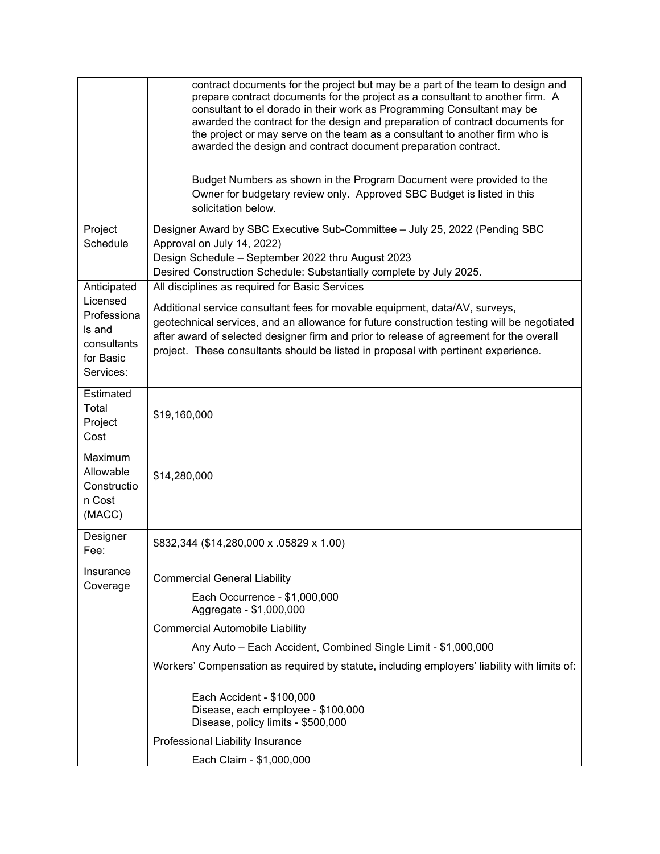|                                                                            | contract documents for the project but may be a part of the team to design and<br>prepare contract documents for the project as a consultant to another firm. A<br>consultant to el dorado in their work as Programming Consultant may be<br>awarded the contract for the design and preparation of contract documents for<br>the project or may serve on the team as a consultant to another firm who is<br>awarded the design and contract document preparation contract.<br>Budget Numbers as shown in the Program Document were provided to the<br>Owner for budgetary review only. Approved SBC Budget is listed in this<br>solicitation below. |
|----------------------------------------------------------------------------|------------------------------------------------------------------------------------------------------------------------------------------------------------------------------------------------------------------------------------------------------------------------------------------------------------------------------------------------------------------------------------------------------------------------------------------------------------------------------------------------------------------------------------------------------------------------------------------------------------------------------------------------------|
|                                                                            |                                                                                                                                                                                                                                                                                                                                                                                                                                                                                                                                                                                                                                                      |
| Project<br>Schedule                                                        | Designer Award by SBC Executive Sub-Committee - July 25, 2022 (Pending SBC<br>Approval on July 14, 2022)<br>Design Schedule - September 2022 thru August 2023<br>Desired Construction Schedule: Substantially complete by July 2025.                                                                                                                                                                                                                                                                                                                                                                                                                 |
| Anticipated                                                                | All disciplines as required for Basic Services                                                                                                                                                                                                                                                                                                                                                                                                                                                                                                                                                                                                       |
| Licensed<br>Professiona<br>Is and<br>consultants<br>for Basic<br>Services: | Additional service consultant fees for movable equipment, data/AV, surveys,<br>geotechnical services, and an allowance for future construction testing will be negotiated<br>after award of selected designer firm and prior to release of agreement for the overall<br>project. These consultants should be listed in proposal with pertinent experience.                                                                                                                                                                                                                                                                                           |
| Estimated<br>Total<br>Project<br>Cost                                      | \$19,160,000                                                                                                                                                                                                                                                                                                                                                                                                                                                                                                                                                                                                                                         |
| Maximum<br>Allowable<br>Constructio<br>n Cost<br>(MACC)                    | \$14,280,000                                                                                                                                                                                                                                                                                                                                                                                                                                                                                                                                                                                                                                         |
| Designer<br>Fee:                                                           | \$832,344 (\$14,280,000 x .05829 x 1.00)                                                                                                                                                                                                                                                                                                                                                                                                                                                                                                                                                                                                             |
| Insurance<br>Coverage                                                      | <b>Commercial General Liability</b>                                                                                                                                                                                                                                                                                                                                                                                                                                                                                                                                                                                                                  |
|                                                                            | Each Occurrence - \$1,000,000<br>Aggregate - \$1,000,000                                                                                                                                                                                                                                                                                                                                                                                                                                                                                                                                                                                             |
|                                                                            | <b>Commercial Automobile Liability</b>                                                                                                                                                                                                                                                                                                                                                                                                                                                                                                                                                                                                               |
|                                                                            | Any Auto - Each Accident, Combined Single Limit - \$1,000,000                                                                                                                                                                                                                                                                                                                                                                                                                                                                                                                                                                                        |
|                                                                            | Workers' Compensation as required by statute, including employers' liability with limits of:                                                                                                                                                                                                                                                                                                                                                                                                                                                                                                                                                         |
|                                                                            | Each Accident - \$100,000<br>Disease, each employee - \$100,000<br>Disease, policy limits - \$500,000                                                                                                                                                                                                                                                                                                                                                                                                                                                                                                                                                |
|                                                                            | Professional Liability Insurance                                                                                                                                                                                                                                                                                                                                                                                                                                                                                                                                                                                                                     |
|                                                                            | Each Claim - \$1,000,000                                                                                                                                                                                                                                                                                                                                                                                                                                                                                                                                                                                                                             |